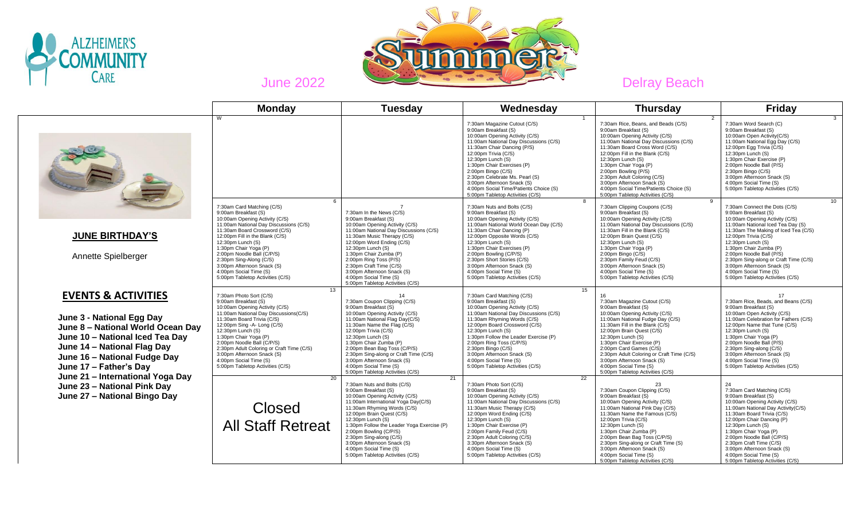



|                                                                                                                                                                                                                              | <b>Monday</b>                                                                                                                                                                                                                                                                                                                                                                                                     | <b>Tuesday</b>                                                                                                                                                                                                                                                                                                                                                                                                     | Wednesday                                                                                                                                                                                                                                                                                                                                                                                                       | <b>Thursday</b>                                                                                                                                                                                                                                                                                                                                                                                                                                | Friday                                                                                                                                                                                                                                                                                                                                                                                                       |    |
|------------------------------------------------------------------------------------------------------------------------------------------------------------------------------------------------------------------------------|-------------------------------------------------------------------------------------------------------------------------------------------------------------------------------------------------------------------------------------------------------------------------------------------------------------------------------------------------------------------------------------------------------------------|--------------------------------------------------------------------------------------------------------------------------------------------------------------------------------------------------------------------------------------------------------------------------------------------------------------------------------------------------------------------------------------------------------------------|-----------------------------------------------------------------------------------------------------------------------------------------------------------------------------------------------------------------------------------------------------------------------------------------------------------------------------------------------------------------------------------------------------------------|------------------------------------------------------------------------------------------------------------------------------------------------------------------------------------------------------------------------------------------------------------------------------------------------------------------------------------------------------------------------------------------------------------------------------------------------|--------------------------------------------------------------------------------------------------------------------------------------------------------------------------------------------------------------------------------------------------------------------------------------------------------------------------------------------------------------------------------------------------------------|----|
|                                                                                                                                                                                                                              | W                                                                                                                                                                                                                                                                                                                                                                                                                 |                                                                                                                                                                                                                                                                                                                                                                                                                    | 7:30am Magazine Cutout (C/S)<br>9:00am Breakfast (S)<br>10:00am Opening Activity (C/S)<br>11:00am National Day Discussions (C/S)<br>11:30am Chair Dancing (P/S)<br>12:00pm Trivia (C/S)<br>12:30pm Lunch (S)<br>1:30pm Chair Exercises (P)<br>2:00pm Bingo (C/S)<br>2:30pm Celebrate Ms. Pearl (S)<br>3:00pm Afternoon Snack (S)<br>4:00pm Social Time/Patients Choice (S)<br>5:00pm Tabletop Activities (C/S)  | $\mathcal{P}$<br>7:30am Rice, Beans, and Beads (C/S)<br>9:00am Breakfast (S)<br>10:00am Opening Activity (C/S)<br>11:00am National Day Discussions (C/S)<br>11:30am Board Cross Word (C/S)<br>12:00pm Fill in the Blank (C/S)<br>12:30pm Lunch (S)<br>1:30pm Chair Yoga (P)<br>2:00pm Bowling (P/S)<br>2:30pm Adult Coloring (C/S)<br>3:00pm Afternoon Snack (S)<br>4:00pm Social Time/Patients Choice (S)<br>5:00pm Tabletop Activities (C/S) | 7:30am Word Search (C)<br>9:00am Breakfast (S)<br>10:00am Open Activity(C/S)<br>11:00am National Egg Day (C/S)<br>12:00pm Eqq Trivia (C/S)<br>12:30pm Lunch (S)<br>1:30pm Chair Exercise (P)<br>2:00pm Noodle Ball (P/S)<br>2:30pm Bingo (C/S)<br>3:00pm Afternoon Snack (S)<br>4:00pm Social Time (S)<br>5:00pm Tabletop Activities (C/S)                                                                   |    |
| <b>JUNE BIRTHDAY'S</b><br>Annette Spielberger                                                                                                                                                                                | 6<br>7:30am Card Matching (C/S)<br>9:00am Breakfast (S)<br>10:00am Opening Activity (C/S)<br>11:00am National Day Discussions (C/S)<br>11:30am Board Crossword (C/S)<br>12:00pm Fill in the Blank (C/S)<br>12:30pm Lunch (S)<br>1:30pm Chair Yoga (P)<br>2:00pm Noodle Ball (C/P/S)<br>2:30pm Sing-Along (C/S)<br>3:00pm Afternoon Snack (S)<br>4:00pm Social Time (S)<br>5:00pm Tabletop Activities (C/S)<br>13  | 7:30am In the News (C/S)<br>9:00am Breakfast (S)<br>10:00am Opening Activity (C/S)<br>11:00am National Day Discussions (C/S)<br>11:30am Music Therapy (C/S)<br>12:00pm Word Ending (C/S)<br>$12:30$ <sub>pm</sub> Lunch $(S)$<br>1:30pm Chair Zumba (P)<br>2:00pm Ring Toss (P/S)<br>2:30pm Craft Time (C/S)<br>3:00pm Afternoon Snack (S)<br>4:00pm Social Time (S)<br>5:00pm Tabletop Activities (C/S)           | -8<br>7:30am Nuts and Bolts (C/S)<br>9:00am Breakfast (S)<br>10:00am Opening Activity (C/S)<br>11:00am National World Ocean Day (C/S)<br>11:30am Chair Dancing (P)<br>12:00pm Opposite Words (C/S)<br>12:30pm Lunch (S)<br>1:30pm Chair Exercises (P)<br>2:00pm Bowling (C/P/S)<br>2:30pm Short Stories (C/S)<br>3:00pm Afternoon Snack (S)<br>4:00pm Social Time (S)<br>5:00pm Tabletop Activities (C/S)<br>15 | 9<br>7:30am Clipping Coupons (C/S)<br>9:00am Breakfast (S)<br>10:00am Opening Activity (C/S)<br>11:00am National Day Discussions (C/S)<br>11:30am Fill in the Blank (C/S)<br>12:00pm Brain Quest (C/S)<br>12:30pm Lunch (S)<br>1:30pm Chair Yoga (P)<br>2:00pm Bingo (C/S)<br>2:30pm Family Feud (C/S)<br>3:00pm Afternoon Snack (S)<br>4:00pm Social Time (S)<br>5:00pm Tabletop Activities (C/S)                                             | 7:30am Connect the Dots (C/S)<br>9:00am Breakfast (S)<br>10:00am Opening Activity (C/S)<br>11:00am National Iced Tea Day (S)<br>11:30am The Making of Iced Tea (C/S)<br>12:00pm Trivia (C/S)<br>12:30pm Lunch (S)<br>1:30pm Chair Zumba (P)<br>2:00pm Noodle Ball (P/S)<br>2:30pm Sing-along or Craft Time (C/S)<br>3:00pm Afternoon Snack (S)<br>4:00pm Social Time (S)<br>5:00pm Tabletop Activities (C/S) | 10 |
| <b>EVENTS &amp; ACTIVITIES</b><br>June 3 - National Egg Day<br>June 8 - National World Ocean Day<br>June 10 - National Iced Tea Day<br>June 14 - National Flag Day<br>June 16 - National Fudge Day<br>June 17 - Father's Day | 7:30am Photo Sort (C/S)<br>9:00am Breakfast (S)<br>10:00am Opening Activity (C/S)<br>11:00am National Day Discussions(C/S)<br>11:30am Board Trivia (C/S)<br>12:00pm Sing -A- Long (C/S)<br>$12:30$ pm Lunch $(S)$<br>1:30pm Chair Yoga (P)<br>2:00pm Noodle Ball (C/P/S)<br>2:30pm Adult Coloring or Craft Time (C/S)<br>3:00pm Afternoon Snack (S)<br>4:00pm Social Time (S)<br>5:00pm Tabletop Activities (C/S) | 14<br>7:30am Coupon Clipping (C/S)<br>9:00am Breakfast (S)<br>10:00am Opening Activity (C/S)<br>11:00am National Flag Day(C/S)<br>11:30am Name the Flag (C/S)<br>12:00pm Trivia (C/S)<br>12:30pm Lunch (S)<br>1:30pm Chair Zumba (P)<br>2:00pm Bean Bag Toss (C/P/S)<br>2:30pm Sing-along or Craft Time (C/S)<br>3:00pm Afternoon Snack (S)<br>4:00pm Social Time (S)<br>5:00pm Tabletop Activities (C/S)          | 7:30am Card Matching (C/S)<br>9:00am Breakfast (S)<br>10:00am Opening Activity (C/S)<br>11:00am National Day Discussions (C/S)<br>11:30am Rhyming Words (C/S)<br>12:00pm Board Crossword (C/S)<br>12:30pm Lunch (S)<br>1:30pm Follow the Leader Exercise (P)<br>2:00pm Ring Toss (C/P/S)<br>2:30pm Bingo (C/S)<br>3:00pm Afternoon Snack (S)<br>4:00pm Social Time (S)<br>5:00pm Tabletop Activities (C/S)      | 7:30am Magazine Cutout (C/S)<br>9:00am Breakfast (S)<br>10:00am Opening Activity (C/S)<br>11:00am National Fudge Day (C/S)<br>11:30am Fill in the Blank (C/S)<br>12:00pm Brain Quest (C/S)<br>12:30pm Lunch (S)<br>1:30pm Chair Exercise (P)<br>2:00pm Card Games (C/S)<br>2:30pm Adult Coloring or Craft Time (C/S)<br>3:00pm Afternoon Snack (S)<br>4:00pm Social Time (S)<br>5:00pm Tabletop Activities (C/S)                               | 17<br>7:30am Rice, Beads, and Beans (C/S)<br>9:00am Breakfast (S)<br>10:00am Open Activity (C/S)<br>11:00am Celebration for Fathers (C/S)<br>12:00pm Name that Tune (C/S)<br>12:30pm Lunch (S)<br>1:30pm Chair Yoga (P)<br>2:00pm Noodle Ball (P/S)<br>2:30pm Sing-along (C/S)<br>3:00pm Afternoon Snack (S)<br>4:00pm Social Time (S)<br>5:00pm Tabletop Activities (C/S)                                   |    |
| June 21 - International Yoga Day<br>June 23 - National Pink Day<br>June 27 - National Bingo Day                                                                                                                              | 20<br><b>Closed</b><br><b>All Staff Retreat</b>                                                                                                                                                                                                                                                                                                                                                                   | 21<br>7:30am Nuts and Bolts (C/S)<br>9:00am Breakfast (S)<br>10:00am Opening Activity (C/S)<br>11:00am International Yoga Day(C/S)<br>11:30am Rhyming Words (C/S)<br>12:00pm Brain Quest (C/S)<br>12:30pm Lunch (S)<br>1:30pm Follow the Leader Yoga Exercise (P)<br>2:00pm Bowling (C/P/S)<br>2:30pm Sing-along (C/S)<br>3:00pm Afternoon Snack (S)<br>4:00pm Social Time (S)<br>5:00pm Tabletop Activities (C/S) | 22<br>7:30am Photo Sort (C/S)<br>9:00am Breakfast (S)<br>10:00am Opening Activity (C/S)<br>11:00am National Day Discussions (C/S)<br>11:30am Music Therapy (C/S)<br>12:00pm Word Ending (C/S)<br>12:30pm Lunch (S)<br>1:30pm Chair Exercise (P)<br>2:00pm Family Feud (C/S)<br>2:30pm Adult Coloring (C/S)<br>3:30pm Afternoon Snack (S)<br>4:00pm Social Time (S)<br>5:00pm Tabletop Activities (C/S)          | 23<br>7:30am Coupon Clipping (C/S)<br>9:00am Breakfast (S)<br>10:00am Opening Activity (C/S)<br>11:00am National Pink Day (C/S)<br>11:30am Name the Famous (C/S)<br>12:00pm Trivia (C/S)<br>12:30pm Lunch (S)<br>1:30pm Chair Zumba (P)<br>2:00pm Bean Bag Toss (C/P/S)<br>2:30pm Sing-along or Craft Time (S)<br>3:00pm Afternoon Snack (S)<br>4:00pm Social Time (S)<br>5:00pm Tabletop Activities (C/S)                                     | 24<br>7:30am Card Matching (C/S)<br>9:00am Breakfast (S)<br>10:00am Opening Activity (C/S)<br>11:00am National Day Activity(C/S)<br>11:30am Board Trivia (C/S)<br>12:00pm Chair Dancing (P)<br>12:30pm Lunch (S)<br>1:30pm Chair Yoga (P)<br>2:00pm Noodle Ball (C/P/S)<br>2:30pm Craft Time (C/S)<br>3:00pm Afternoon Snack (S)<br>4:00pm Social Time (S)<br>5:00pm Tabletop Activities (C/S)               |    |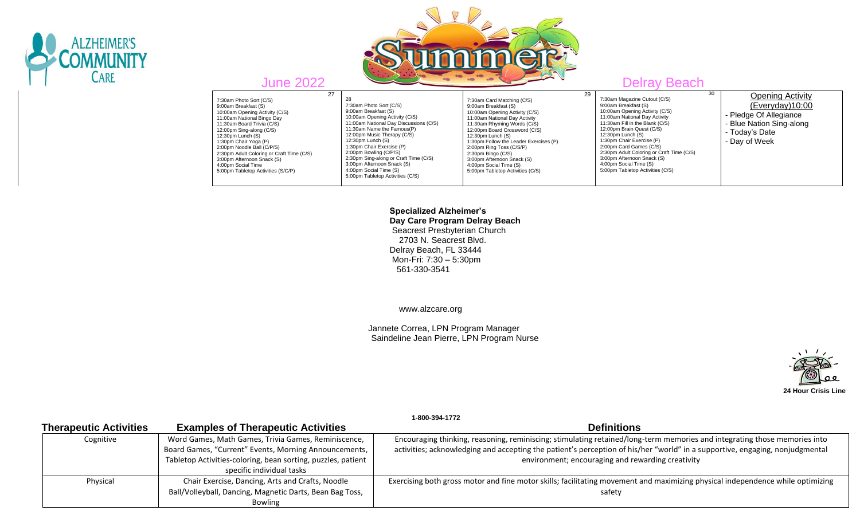



 27 7:30am Photo Sort (C/S) 9:00am Breakfast (S) 10:00am Opening Activity (C/S) 11:00am National Bingo Day 11:30am Board Trivia (C/S) 12:00pm Sing-along (C/S) 12:30pm Lunch (S) 1:30pm Chair Yoga (P) 2:00pm Noodle Ball (C/P/S) 2:30pm Adult Coloring or Craft Time (C/S) 3:00pm Afternoon Snack (S) 4:00pm Social Time 5:00pm Tabletop Activities (S/C/P)

 28 7:30am Photo Sort (C/S) 9:00am Breakfast (S) 10:00am Opening Activity (C/S) 11:00am National Day Discussions (C/S) 11:30am Name the Famous(P) 12:00pm Music Therapy (C/S) 12:30pm Lunch (S) 1:30pm Chair Exercise (P) 2:00pm Bowling (C/P/S) 2:30pm Sing-along or Craft Time (C/S) 3:00pm Afternoon Snack (S) 4:00pm Social Time (S) 5:00pm Tabletop Activities (C/S)

7:30am Card Matching (C/S) 9:00am Breakfast (S) 10:00am Opening Activity (C/S) 11:00am National Day Activity 11:30am Rhyming Words (C/S) 12:00pm Board Crossword (C/S) 12:30pm Lunch (S) 1:30pm Follow the Leader Exercises (P) 2:00pm Ring Toss (C/S/P) 2:30pm Bingo (C/S) 3:00pm Afternoon Snack (S) 4:00pm Social Time (S) 5:00pm Tabletop Activities (C/S)

10:00am Opening Activity (C/S) 11:00am National Day Activity 11:30am Fill in the Blank (C/S) 12:00pm Brain Quest (C/S) 12:30pm Lunch (S) 1:30pm Chair Exercise (P) 2:00pm Card Games (C/S)

3:00pm Afternoon Snack (S) 4:00pm Social Time (S) 5:00pm Tabletop Activities (C/S)

29

# 30 7:30am Magazine Cutout (C/S) 9:00am Breakfast (S) 2:30pm Adult Coloring or Craft Time (C/S) **Opening Activity** (Everyday)10:00 - Pledge Of Allegiance - Blue Nation Sing-along - Today's Date - Day of Week

 **Specialized Alzheimer's Day Care Program Delray Beach** Seacrest Presbyterian Church 2703 N. Seacrest Blvd. Delray Beach, FL 33444 Mon-Fri: 7:30 – 5:30pm 561-330-3541

www.alzcare.org

 Jannete Correa, LPN Program Manager Saindeline Jean Pierre, LPN Program Nurse



|                               |                                                              | 1-800-394-1772                                                                                                                 |
|-------------------------------|--------------------------------------------------------------|--------------------------------------------------------------------------------------------------------------------------------|
| <b>Therapeutic Activities</b> | <b>Examples of Therapeutic Activities</b>                    | <b>Definitions</b>                                                                                                             |
| Cognitive                     | Word Games, Math Games, Trivia Games, Reminiscence,          | Encouraging thinking, reasoning, reminiscing; stimulating retained/long-term memories and integrating those memories into      |
|                               | Board Games, "Current" Events, Morning Announcements,        | activities; acknowledging and accepting the patient's perception of his/her "world" in a supportive, engaging, nonjudgmental   |
|                               | Tabletop Activities-coloring, bean sorting, puzzles, patient | environment; encouraging and rewarding creativity                                                                              |
|                               | specific individual tasks                                    |                                                                                                                                |
| Physical                      | Chair Exercise, Dancing, Arts and Crafts, Noodle             | Exercising both gross motor and fine motor skills; facilitating movement and maximizing physical independence while optimizing |
|                               | Ball/Volleyball, Dancing, Magnetic Darts, Bean Bag Toss,     | safety                                                                                                                         |
|                               | <b>Bowling</b>                                               |                                                                                                                                |